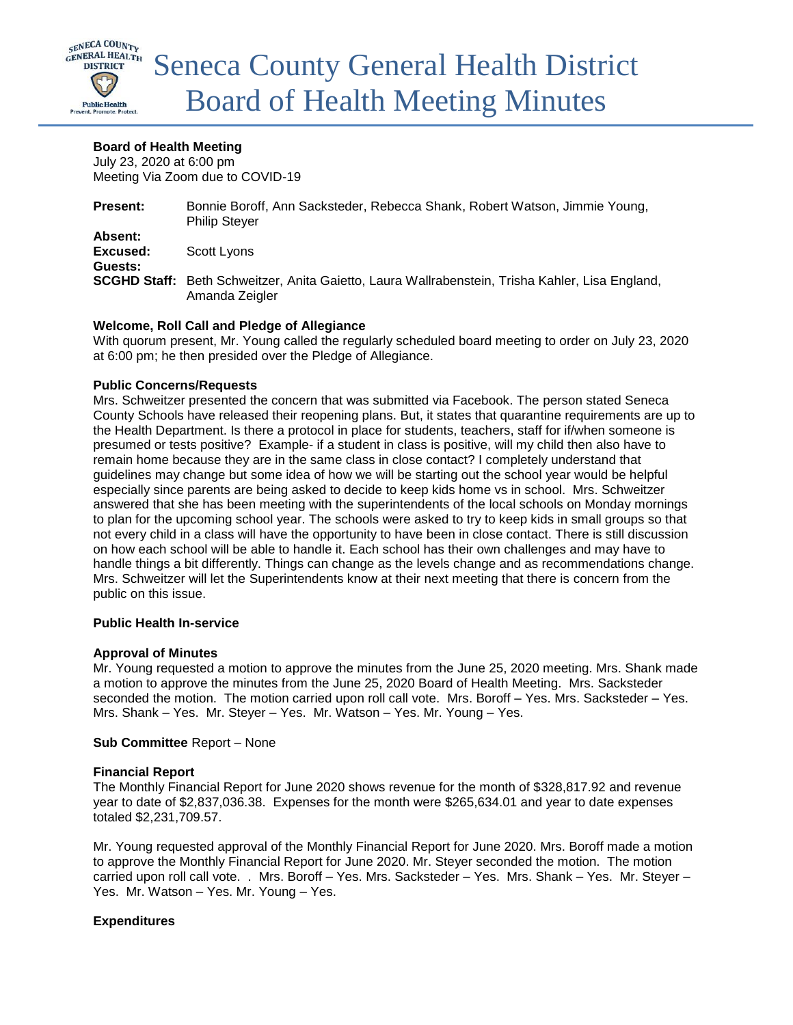

# **Board of Health Meeting**

July 23, 2020 at 6:00 pm Meeting Via Zoom due to COVID-19

| <b>Present:</b> | Bonnie Boroff, Ann Sacksteder, Rebecca Shank, Robert Watson, Jimmie Young,<br><b>Philip Stever</b>                |
|-----------------|-------------------------------------------------------------------------------------------------------------------|
| Absent:         |                                                                                                                   |
| Excused:        | Scott Lyons                                                                                                       |
| Guests:         |                                                                                                                   |
|                 | SCGHD Staff: Beth Schweitzer, Anita Gaietto, Laura Wallrabenstein, Trisha Kahler, Lisa England,<br>Amanda Zeigler |

# **Welcome, Roll Call and Pledge of Allegiance**

With quorum present, Mr. Young called the regularly scheduled board meeting to order on July 23, 2020 at 6:00 pm; he then presided over the Pledge of Allegiance.

### **Public Concerns/Requests**

Mrs. Schweitzer presented the concern that was submitted via Facebook. The person stated Seneca County Schools have released their reopening plans. But, it states that quarantine requirements are up to the Health Department. Is there a protocol in place for students, teachers, staff for if/when someone is presumed or tests positive? Example- if a student in class is positive, will my child then also have to remain home because they are in the same class in close contact? I completely understand that guidelines may change but some idea of how we will be starting out the school year would be helpful especially since parents are being asked to decide to keep kids home vs in school. Mrs. Schweitzer answered that she has been meeting with the superintendents of the local schools on Monday mornings to plan for the upcoming school year. The schools were asked to try to keep kids in small groups so that not every child in a class will have the opportunity to have been in close contact. There is still discussion on how each school will be able to handle it. Each school has their own challenges and may have to handle things a bit differently. Things can change as the levels change and as recommendations change. Mrs. Schweitzer will let the Superintendents know at their next meeting that there is concern from the public on this issue.

### **Public Health In-service**

### **Approval of Minutes**

Mr. Young requested a motion to approve the minutes from the June 25, 2020 meeting. Mrs. Shank made a motion to approve the minutes from the June 25, 2020 Board of Health Meeting. Mrs. Sacksteder seconded the motion. The motion carried upon roll call vote. Mrs. Boroff – Yes. Mrs. Sacksteder – Yes. Mrs. Shank – Yes. Mr. Steyer – Yes. Mr. Watson – Yes. Mr. Young – Yes.

### **Sub Committee** Report – None

### **Financial Report**

The Monthly Financial Report for June 2020 shows revenue for the month of \$328,817.92 and revenue year to date of \$2,837,036.38. Expenses for the month were \$265,634.01 and year to date expenses totaled \$2,231,709.57.

Mr. Young requested approval of the Monthly Financial Report for June 2020. Mrs. Boroff made a motion to approve the Monthly Financial Report for June 2020. Mr. Steyer seconded the motion. The motion carried upon roll call vote. . Mrs. Boroff – Yes. Mrs. Sacksteder – Yes. Mrs. Shank – Yes. Mr. Steyer – Yes. Mr. Watson – Yes. Mr. Young – Yes.

### **Expenditures**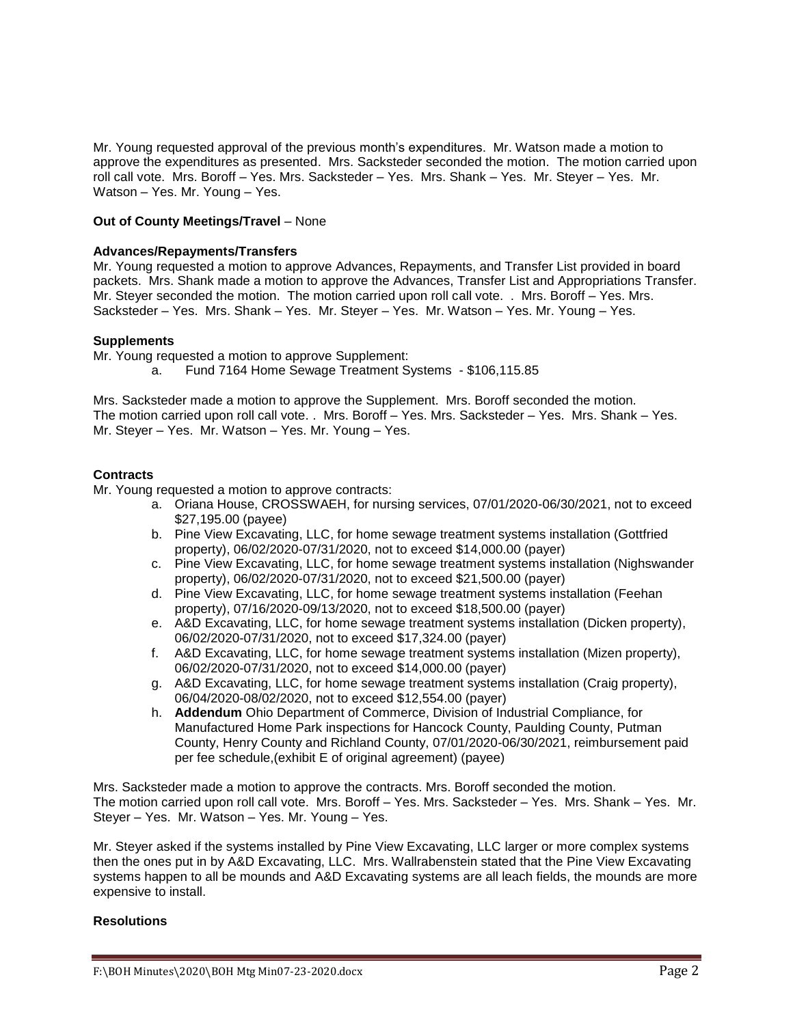Mr. Young requested approval of the previous month's expenditures. Mr. Watson made a motion to approve the expenditures as presented. Mrs. Sacksteder seconded the motion. The motion carried upon roll call vote. Mrs. Boroff – Yes. Mrs. Sacksteder – Yes. Mrs. Shank – Yes. Mr. Steyer – Yes. Mr. Watson – Yes. Mr. Young – Yes.

## **Out of County Meetings/Travel** – None

## **Advances/Repayments/Transfers**

Mr. Young requested a motion to approve Advances, Repayments, and Transfer List provided in board packets. Mrs. Shank made a motion to approve the Advances, Transfer List and Appropriations Transfer. Mr. Steyer seconded the motion. The motion carried upon roll call vote. . Mrs. Boroff – Yes. Mrs. Sacksteder – Yes. Mrs. Shank – Yes. Mr. Steyer – Yes. Mr. Watson – Yes. Mr. Young – Yes.

#### **Supplements**

Mr. Young requested a motion to approve Supplement:

a. Fund 7164 Home Sewage Treatment Systems - \$106,115.85

Mrs. Sacksteder made a motion to approve the Supplement. Mrs. Boroff seconded the motion. The motion carried upon roll call vote. . Mrs. Boroff – Yes. Mrs. Sacksteder – Yes. Mrs. Shank – Yes. Mr. Steyer – Yes. Mr. Watson – Yes. Mr. Young – Yes.

#### **Contracts**

Mr. Young requested a motion to approve contracts:

- a. Oriana House, CROSSWAEH, for nursing services, 07/01/2020-06/30/2021, not to exceed \$27,195.00 (payee)
- b. Pine View Excavating, LLC, for home sewage treatment systems installation (Gottfried property), 06/02/2020-07/31/2020, not to exceed \$14,000.00 (payer)
- c. Pine View Excavating, LLC, for home sewage treatment systems installation (Nighswander property), 06/02/2020-07/31/2020, not to exceed \$21,500.00 (payer)
- d. Pine View Excavating, LLC, for home sewage treatment systems installation (Feehan property), 07/16/2020-09/13/2020, not to exceed \$18,500.00 (payer)
- e. A&D Excavating, LLC, for home sewage treatment systems installation (Dicken property), 06/02/2020-07/31/2020, not to exceed \$17,324.00 (payer)
- f. A&D Excavating, LLC, for home sewage treatment systems installation (Mizen property), 06/02/2020-07/31/2020, not to exceed \$14,000.00 (payer)
- g. A&D Excavating, LLC, for home sewage treatment systems installation (Craig property), 06/04/2020-08/02/2020, not to exceed \$12,554.00 (payer)
- h. **Addendum** Ohio Department of Commerce, Division of Industrial Compliance, for Manufactured Home Park inspections for Hancock County, Paulding County, Putman County, Henry County and Richland County, 07/01/2020-06/30/2021, reimbursement paid per fee schedule,(exhibit E of original agreement) (payee)

Mrs. Sacksteder made a motion to approve the contracts. Mrs. Boroff seconded the motion. The motion carried upon roll call vote. Mrs. Boroff – Yes. Mrs. Sacksteder – Yes. Mrs. Shank – Yes. Mr. Steyer – Yes. Mr. Watson – Yes. Mr. Young – Yes.

Mr. Steyer asked if the systems installed by Pine View Excavating, LLC larger or more complex systems then the ones put in by A&D Excavating, LLC. Mrs. Wallrabenstein stated that the Pine View Excavating systems happen to all be mounds and A&D Excavating systems are all leach fields, the mounds are more expensive to install.

### **Resolutions**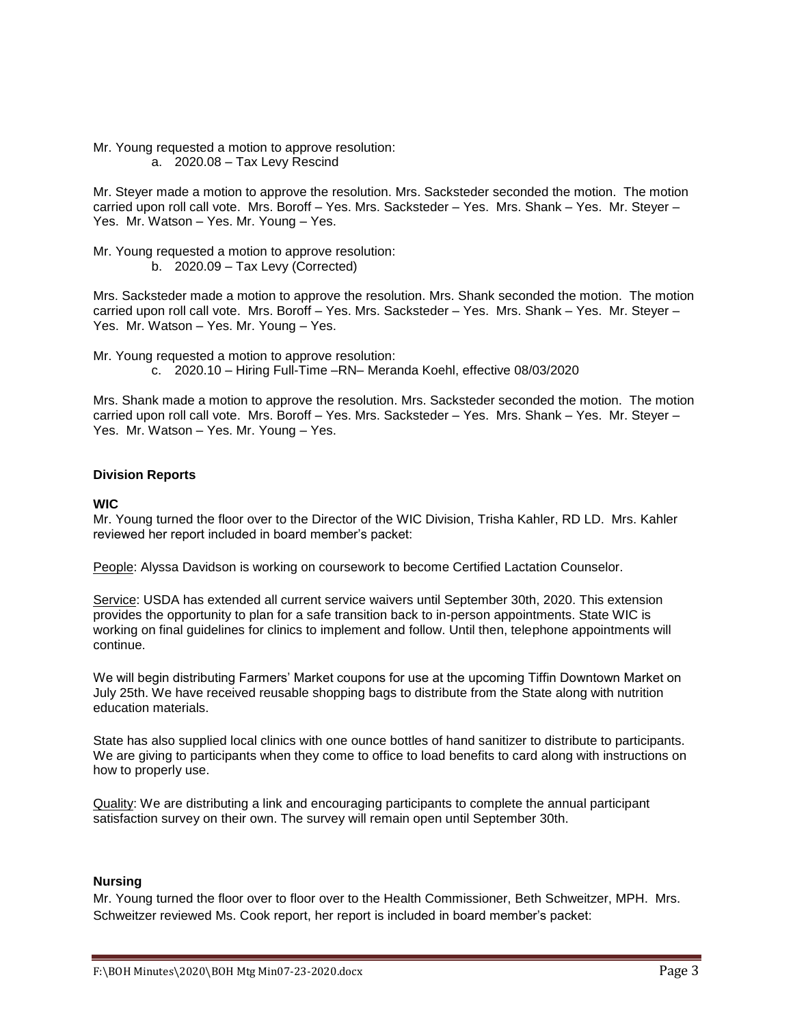Mr. Young requested a motion to approve resolution: a. 2020.08 – Tax Levy Rescind

Mr. Steyer made a motion to approve the resolution. Mrs. Sacksteder seconded the motion. The motion carried upon roll call vote. Mrs. Boroff – Yes. Mrs. Sacksteder – Yes. Mrs. Shank – Yes. Mr. Steyer – Yes. Mr. Watson – Yes. Mr. Young – Yes.

Mr. Young requested a motion to approve resolution: b. 2020.09 – Tax Levy (Corrected)

Mrs. Sacksteder made a motion to approve the resolution. Mrs. Shank seconded the motion. The motion carried upon roll call vote. Mrs. Boroff – Yes. Mrs. Sacksteder – Yes. Mrs. Shank – Yes. Mr. Steyer – Yes. Mr. Watson – Yes. Mr. Young – Yes.

Mr. Young requested a motion to approve resolution: c. 2020.10 – Hiring Full-Time –RN– Meranda Koehl, effective 08/03/2020

Mrs. Shank made a motion to approve the resolution. Mrs. Sacksteder seconded the motion. The motion carried upon roll call vote. Mrs. Boroff – Yes. Mrs. Sacksteder – Yes. Mrs. Shank – Yes. Mr. Steyer – Yes. Mr. Watson – Yes. Mr. Young – Yes.

### **Division Reports**

### **WIC**

Mr. Young turned the floor over to the Director of the WIC Division, Trisha Kahler, RD LD. Mrs. Kahler reviewed her report included in board member's packet:

People: Alyssa Davidson is working on coursework to become Certified Lactation Counselor.

Service: USDA has extended all current service waivers until September 30th, 2020. This extension provides the opportunity to plan for a safe transition back to in-person appointments. State WIC is working on final guidelines for clinics to implement and follow. Until then, telephone appointments will continue.

We will begin distributing Farmers' Market coupons for use at the upcoming Tiffin Downtown Market on July 25th. We have received reusable shopping bags to distribute from the State along with nutrition education materials.

State has also supplied local clinics with one ounce bottles of hand sanitizer to distribute to participants. We are giving to participants when they come to office to load benefits to card along with instructions on how to properly use.

Quality: We are distributing a link and encouraging participants to complete the annual participant satisfaction survey on their own. The survey will remain open until September 30th.

## **Nursing**

Mr. Young turned the floor over to floor over to the Health Commissioner, Beth Schweitzer, MPH. Mrs. Schweitzer reviewed Ms. Cook report, her report is included in board member's packet: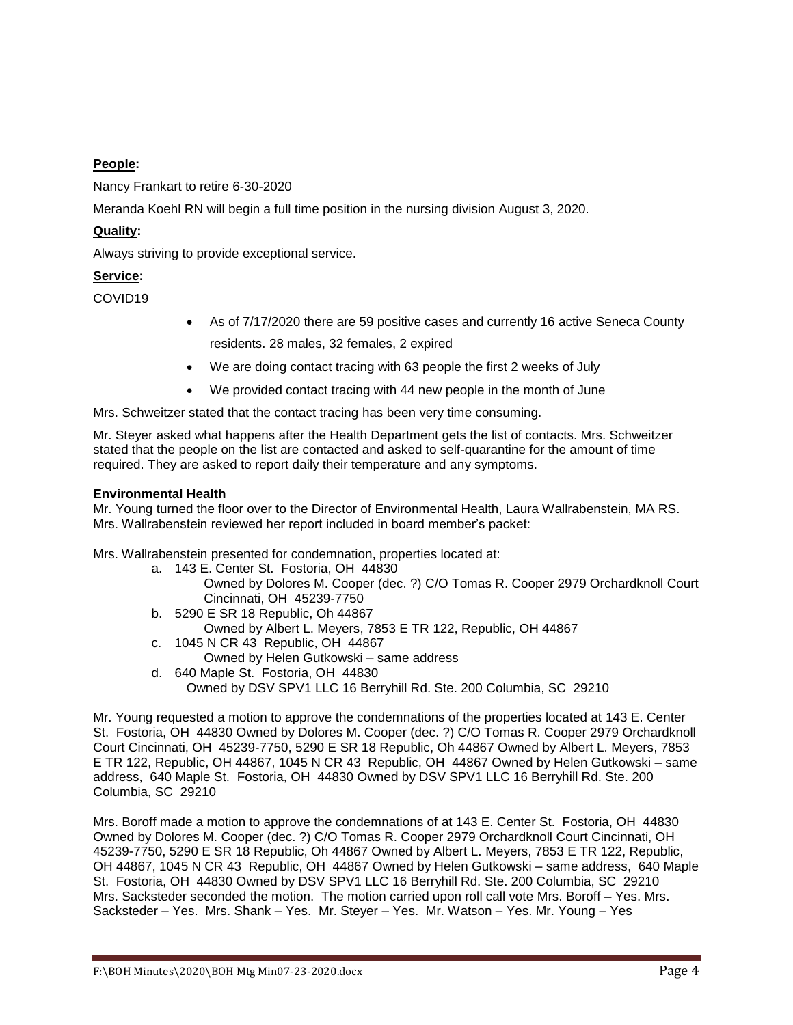# **People:**

Nancy Frankart to retire 6-30-2020

Meranda Koehl RN will begin a full time position in the nursing division August 3, 2020.

# **Quality:**

Always striving to provide exceptional service.

# **Service:**

COVID19

- As of 7/17/2020 there are 59 positive cases and currently 16 active Seneca County residents. 28 males, 32 females, 2 expired
- We are doing contact tracing with 63 people the first 2 weeks of July
- We provided contact tracing with 44 new people in the month of June

Mrs. Schweitzer stated that the contact tracing has been very time consuming.

Mr. Steyer asked what happens after the Health Department gets the list of contacts. Mrs. Schweitzer stated that the people on the list are contacted and asked to self-quarantine for the amount of time required. They are asked to report daily their temperature and any symptoms.

# **Environmental Health**

Mr. Young turned the floor over to the Director of Environmental Health, Laura Wallrabenstein, MA RS. Mrs. Wallrabenstein reviewed her report included in board member's packet:

Mrs. Wallrabenstein presented for condemnation, properties located at:

- a. 143 E. Center St. Fostoria, OH 44830
	- Owned by Dolores M. Cooper (dec. ?) C/O Tomas R. Cooper 2979 Orchardknoll Court Cincinnati, OH 45239-7750
- b. 5290 E SR 18 Republic, Oh 44867 Owned by Albert L. Meyers, 7853 E TR 122, Republic, OH 44867
- c. 1045 N CR 43 Republic, OH 44867
	- Owned by Helen Gutkowski same address
- d. 640 Maple St. Fostoria, OH 44830
	- Owned by DSV SPV1 LLC 16 Berryhill Rd. Ste. 200 Columbia, SC 29210

Mr. Young requested a motion to approve the condemnations of the properties located at 143 E. Center St. Fostoria, OH 44830 Owned by Dolores M. Cooper (dec. ?) C/O Tomas R. Cooper 2979 Orchardknoll Court Cincinnati, OH 45239-7750, 5290 E SR 18 Republic, Oh 44867 Owned by Albert L. Meyers, 7853 E TR 122, Republic, OH 44867, 1045 N CR 43 Republic, OH 44867 Owned by Helen Gutkowski – same address, 640 Maple St. Fostoria, OH 44830 Owned by DSV SPV1 LLC 16 Berryhill Rd. Ste. 200 Columbia, SC 29210

Mrs. Boroff made a motion to approve the condemnations of at 143 E. Center St. Fostoria, OH 44830 Owned by Dolores M. Cooper (dec. ?) C/O Tomas R. Cooper 2979 Orchardknoll Court Cincinnati, OH 45239-7750, 5290 E SR 18 Republic, Oh 44867 Owned by Albert L. Meyers, 7853 E TR 122, Republic, OH 44867, 1045 N CR 43 Republic, OH 44867 Owned by Helen Gutkowski – same address, 640 Maple St. Fostoria, OH 44830 Owned by DSV SPV1 LLC 16 Berryhill Rd. Ste. 200 Columbia, SC 29210 Mrs. Sacksteder seconded the motion. The motion carried upon roll call vote Mrs. Boroff – Yes. Mrs. Sacksteder – Yes. Mrs. Shank – Yes. Mr. Steyer – Yes. Mr. Watson – Yes. Mr. Young – Yes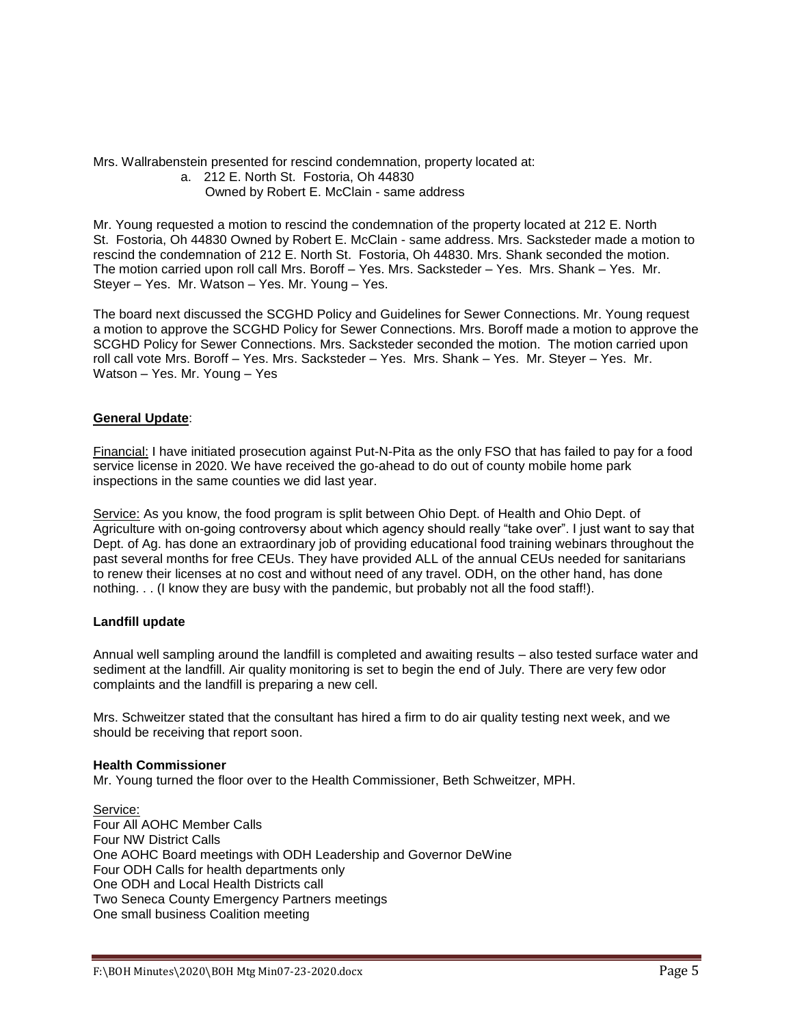Mrs. Wallrabenstein presented for rescind condemnation, property located at:

a. 212 E. North St. Fostoria, Oh 44830

# Owned by Robert E. McClain - same address

Mr. Young requested a motion to rescind the condemnation of the property located at 212 E. North St. Fostoria, Oh 44830 Owned by Robert E. McClain - same address. Mrs. Sacksteder made a motion to rescind the condemnation of 212 E. North St. Fostoria, Oh 44830. Mrs. Shank seconded the motion. The motion carried upon roll call Mrs. Boroff – Yes. Mrs. Sacksteder – Yes. Mrs. Shank – Yes. Mr. Steyer – Yes. Mr. Watson – Yes. Mr. Young – Yes.

The board next discussed the SCGHD Policy and Guidelines for Sewer Connections. Mr. Young request a motion to approve the SCGHD Policy for Sewer Connections. Mrs. Boroff made a motion to approve the SCGHD Policy for Sewer Connections. Mrs. Sacksteder seconded the motion. The motion carried upon roll call vote Mrs. Boroff – Yes. Mrs. Sacksteder – Yes. Mrs. Shank – Yes. Mr. Steyer – Yes. Mr. Watson – Yes. Mr. Young – Yes

# **General Update**:

Financial: I have initiated prosecution against Put-N-Pita as the only FSO that has failed to pay for a food service license in 2020. We have received the go-ahead to do out of county mobile home park inspections in the same counties we did last year.

Service: As you know, the food program is split between Ohio Dept. of Health and Ohio Dept. of Agriculture with on-going controversy about which agency should really "take over". I just want to say that Dept. of Ag. has done an extraordinary job of providing educational food training webinars throughout the past several months for free CEUs. They have provided ALL of the annual CEUs needed for sanitarians to renew their licenses at no cost and without need of any travel. ODH, on the other hand, has done nothing. . . (I know they are busy with the pandemic, but probably not all the food staff!).

# **Landfill update**

Annual well sampling around the landfill is completed and awaiting results – also tested surface water and sediment at the landfill. Air quality monitoring is set to begin the end of July. There are very few odor complaints and the landfill is preparing a new cell.

Mrs. Schweitzer stated that the consultant has hired a firm to do air quality testing next week, and we should be receiving that report soon.

### **Health Commissioner**

Mr. Young turned the floor over to the Health Commissioner, Beth Schweitzer, MPH.

Service: Four All AOHC Member Calls Four NW District Calls One AOHC Board meetings with ODH Leadership and Governor DeWine Four ODH Calls for health departments only One ODH and Local Health Districts call Two Seneca County Emergency Partners meetings One small business Coalition meeting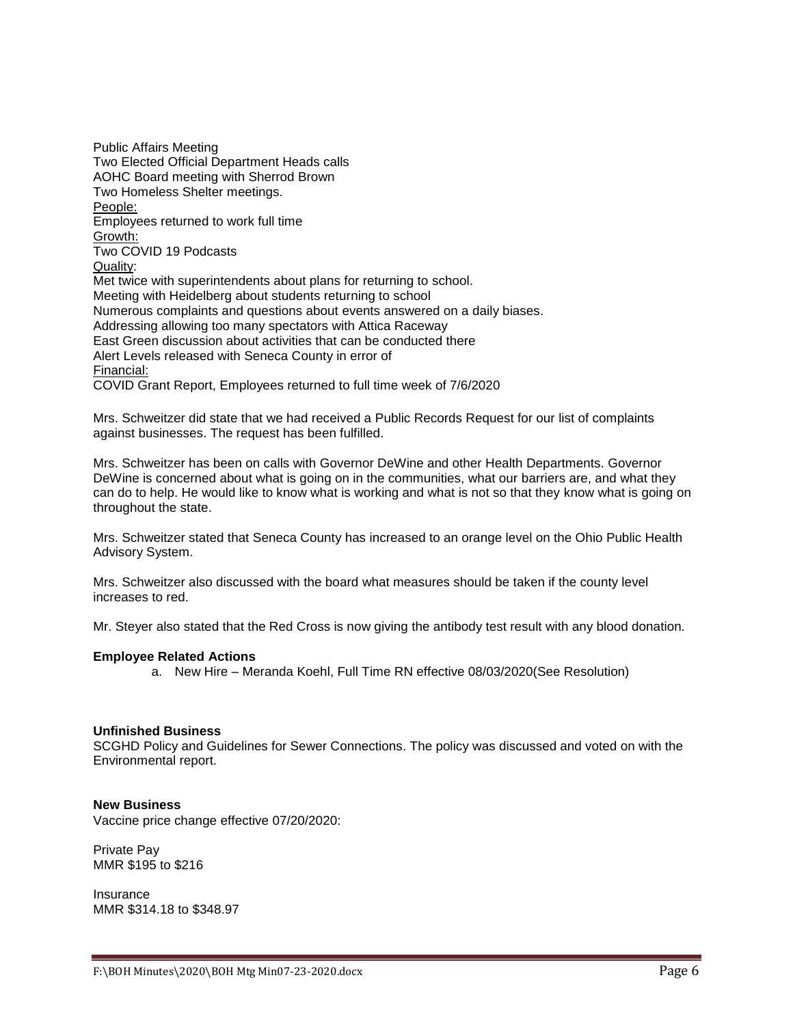Public Affairs Meeting Two Elected Official Department Heads calls AOHC Board meeting with Sherrod Brown Two Homeless Shelter meetings. People: Employees returned to work full time Growth: Two COVID 19 Podcasts Quality: Met twice with superintendents about plans for returning to school. Meeting with Heidelberg about students returning to school Numerous complaints and questions about events answered on a daily biases. Addressing allowing too many spectators with Attica Raceway East Green discussion about activities that can be conducted there Alert Levels released with Seneca County in error of Financial: COVID Grant Report, Employees returned to full time week of 7/6/2020

Mrs. Schweitzer did state that we had received a Public Records Request for our list of complaints against businesses. The request has been fulfilled.

Mrs. Schweitzer has been on calls with Governor DeWine and other Health Departments. Governor DeWine is concerned about what is going on in the communities, what our barriers are, and what they can do to help. He would like to know what is working and what is not so that they know what is going on throughout the state.

Mrs. Schweitzer stated that Seneca County has increased to an orange level on the Ohio Public Health Advisory System.

Mrs. Schweitzer also discussed with the board what measures should be taken if the county level increases to red.

Mr. Steyer also stated that the Red Cross is now giving the antibody test result with any blood donation.

#### **Employee Related Actions**

a. New Hire – Meranda Koehl, Full Time RN effective 08/03/2020(See Resolution)

#### **Unfinished Business**

SCGHD Policy and Guidelines for Sewer Connections. The policy was discussed and voted on with the Environmental report.

### **New Business**

Vaccine price change effective 07/20/2020:

Private Pay MMR \$195 to \$216

**Insurance** MMR \$314.18 to \$348.97